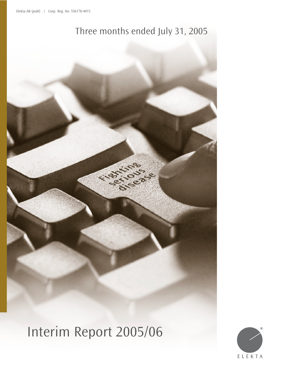# Three months ended July 31, 2005

Interim Report 2005/06

 $\leftrightarrow$ 

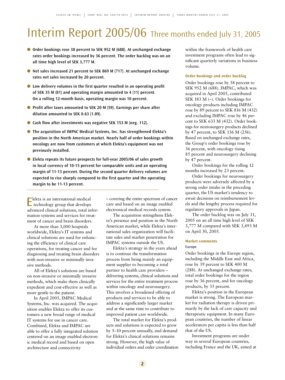# Interim Report 2005/06 Three months ended July 31, 2005

- **Order bookings rose 38 percent to SEK 952 M (688). At unchanged exchange rates order bookings increased by 36 percent. The order backlog was on an all time high level of SEK 3,777 M.**
- **Net sales increased 21 percent to SEK 869 M (717). At unchanged exchange rates net sales increased by 20 percent.**
- Low delivery volumes in the first quarter resulted in an operating profit **of SEK 35 M (81) and operating margin amounted to 4 (11) percent. On a rolling 12-month basis, operating margin was 10 percent.**
- **Profit after taxes amounted to SEK 20 M (59). Earnings per share after dilution amounted to SEK 0.63 (1.89).**
- Cash flow after investments was negative SEK 153 M (neg. 112).
- **The acquisition of IMPAC Medical Systems, Inc. has strengthened Elekta's position in the North American market. Nearly half of order bookings within oncology are now from customers at which Elekta's equipment was not previously installed.**
- **Elekta repeats its future prospects for full-year 2005/06 of sales growth in local currency of 10-15 percent for comparable units and an operating margin of 11-13 percent. During the second quarter delivery volumes are expected to rise sharply compared to the first quarter and the operating margin to be 11-13 percent.**

Elekta is an international medical technology group that develops advanced clinical solutions, total information systems and services for treatment of cancer and brain disorders.

At more than 3,000 hospitals worldwide, Elekta's IT systems and clinical solutions are used for enhancing the efficiency of clinical care operations, for treating cancer and for diagnosing and treating brain disorders with non-invasive or minimally invasive methods.

All of Elekta's solutions are based on non-invasive or minimally invasive methods, which make them clinically expedient and cost-effective as well as more gentle to the patient.

In April 2005, IMPAC Medical Systems, Inc. was acquired. The acquisition enables Elekta to offer its customers a new broad range of medical IT systems for use in cancer care. Combined, Elekta and IMPAC are able to offer a fully integrated solution centered on an image enabled electronic medical record and based on open architecture and connectivity

– covering the entire spectrum of cancer care and based on an image enabled electronical medical records system.

The acquisition strengthens Elekta's presence and position in the North American market, while Elekta's international sales organization will facilitate sales and market penetration for IMPAC systems outside the US.

Elekta's strategy in the years ahead is to continue the transformation process from being mainly an equipment supplier to becoming a total partner to health care providers – delivering systems, clinical solutions and services for the entire treatment process within oncology and neurosurgery. This involves a broadened offering of products and services to be able to address a significantly larger market and at the same time to contribute to improved patient care worldwide.

The total market for Elekta's products and solutions is expected to grow by 5–10 percent annually, and demand for Elekta's clinical solutions remains strong. However, the high value of individual orders and order coordination within the framework of health care investment programs often lead to significant quarterly variations in business volume.

#### **Order bookings and order backlog**

Order bookings rose by 38 percent to SEK 952 M (688). IMPAC, which was acquired in April 2005, contributed SEK 183 M (–). Order bookings for oncology products including IMPAC rose by 89 percent to SEK 816 M (432) and excluding IMPAC rose by 46 percent to SEK 633 M (432). Order bookings for neurosurgery products declined by 47 percent, to SEK 136 M (256). Based on unchanged exchange rates, the Group's order bookings rose by 36 percent, with oncology rising 85 percent and neurosurgery declining by 47 percent.

Order bookings for the rolling 12 months increased by 23 percent.

Order bookings for neurosurgery products were adversely affected by a strong order intake in the preceding quarter, the US market's tendency to await decisions on reimbursement levels and the lengthy process required for regulatory approvals in Japan.

The order backlog was on July 31, 2005 on an all time high level of SEK 3,777 M compared with SEK 3,493 M on April 30, 2005.

#### **Market comments**

#### Europe

Order bookings in the Europe region, including the Middle East and Africa, rose by 39 percent to SEK 400 M (288). At unchanged exchange rates, total order bookings for the region rose by 36 percent, and for oncology products, by 35 percent.

Elekta's position in the European market is strong. The European market for radiation therapy is driven primarily by the lack of care capacity and therapeutic equipment. In many European countries, the number of linear accelerators per capita is less than half that of the US.

Investment programs are under way in several European countries, including France and the UK, aimed at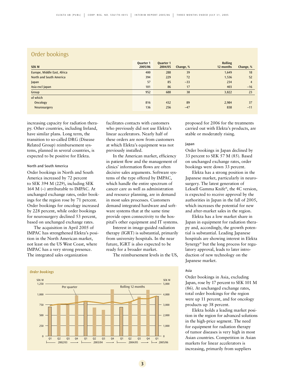# Order bookings

| <b>SEK M</b>                | Quarter 1<br>2005/06 | <b>Quarter 1</b><br>2004/05 | Change, % | <b>Rolling</b><br>12 months | Change, % |
|-----------------------------|----------------------|-----------------------------|-----------|-----------------------------|-----------|
| Europe, Middle East, Africa | 400                  | 288                         | 39        | 1,649                       | 18        |
| North and South America     | 394                  | 229                         | 72        | 1,536                       | 52        |
| Japan                       | 57                   | 85                          | $-33$     | 234                         | 4         |
| Asia excl Japan             | 101                  | 86                          | 17        | 403                         | $-16$     |
| Group                       | 952                  | 688                         | 38        | 3,822                       | 23        |
| of which                    |                      |                             |           |                             |           |
| Oncology                    | 816                  | 432                         | 89        | 2,984                       | 37        |
| Neurosurgery                | 136                  | 256                         | $-47$     | 838                         | $-11$     |

increasing capacity for radiation therapy. Other countries, including Ireland, have similar plans. Long term, the transition to so-called DRG (Disease Related Group) reimbursement systems, planned in several countries, is expected to be positive for Elekta.

### North and South America

Order bookings in North and South America increased by 72 percent to SEK 394 M (229), including SEK 164 M (–) attributable to IMPAC. At unchanged exchange rates, order bookings for the region rose by 71 percent. Order bookings for oncology increased by 228 percent, while order bookings for neurosurgery declined 53 percent, based on unchanged exchange rates.

The acquisition in April 2005 of IMPAC has strengthened Elekta's position in the North American market, not least on the US West Coast, where IMPAC has a very strong presence. The integrated sales organization

facilitates contacts with customers who previously did not use Elekta's linear accelerators. Nearly half of these orders are now from customers at which Elekta's equipment was not previously installed.

In the American market, efficiency in patient flow and the management of clinics' information flows are often decisive sales arguments. Software systems of the type offered by IMPAC, which handle the entire spectrum of cancer care as well as administration and resource planning, are in demand in most sales processes. Customers demand integrated hardware and software systems that at the same time provide open connectivity to the hospital's other equipment and IT systems.

Interest in image-guided radiation therapy (IGRT) is substantial, primarily from university hospitals. In the near future, IGRT is also expected to be ready for a broader market.

The reimbursement levels in the US,



proposed for 2006 for the treatments carried out with Elekta's products, are stable or moderately rising.

### Japan

Order bookings in Japan declined by 33 percent to SEK 57 M (85). Based on unchanged exchange rates, order bookings were down 33 percent.

Elekta has a strong position in the Japanese market, particularly in neurosurgery. The latest generation of Leksell Gamma Knife®, the 4C version, is expected to receive approval by the authorities in Japan in the fall of 2005, which increases the potential for new and after-market sales in the region.

Elekta has a low market share in Japan in equipment for radiation therapy and, accordingly, the growth potential is substantial. Leading Japanese hospitals are showing interest in Elekta Synergy® but the long process for regulatory approval, leads to later introduction of new technology on the Japanese market.

## Asia

Order bookings in Asia, excluding Japan, rose by 17 percent to SEK 101 M (86). At unchanged exchange rates, total order bookings for the region were up 11 percent, and for oncology products up 38 percent.

Elekta holds a leading market position in the region for advanced solutions in the high-price segment. The need for equipment for radiation therapy of tumor diseases is very high in most Asian countries. Competition in Asian markets for linear accelerators is increasing, primarily from suppliers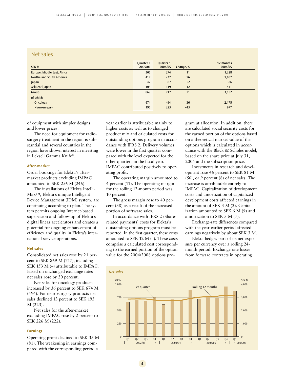## Net sales

| <b>SEK M</b>                | Quarter 1<br>2005/06 | Quarter 1<br>2004/05 | Change, % | 12 months<br>2004/05 |
|-----------------------------|----------------------|----------------------|-----------|----------------------|
| Europe, Middle East, Africa | 305                  | 274                  | 11        | 1,328                |
| Northe and South America    | 417                  | 237                  | 76        | 1,057                |
| Japan                       | 42                   | 87                   | $-52$     | 326                  |
| Asia excl Japan             | 105                  | 119                  | $-12$     | 441                  |
| Group                       | 869                  | 717                  | 21        | 3,152                |
| of which                    |                      |                      |           |                      |
| Oncology                    | 674                  | 494                  | 36        | 2,175                |
| Neurosurgery                | 195                  | 223                  | $-13$     | 977                  |

of equipment with simpler designs and lower prices.

The need for equipment for radiosurgery treatment in the region is substantial and several countries in the region have shown interest in investing in Leksell Gamma Knife®.

#### **After-market**

Order bookings for Elekta's aftermarket products excluding IMPAC amounted to SEK 256 M (246).

The installations of Elekta Intelli-Max™, Elekta's unique Intelligent Device Management (IDM) system, are continuing according to plan. The system permits ongoing Internet-based supervision and follow-up of Elekta's digital linear accelerators and creates a potential for ongoing enhancement of efficiency and quality in Elekta's international service operations.

#### **Net sales**

Consolidated net sales rose by 21 percent to SEK 869 M (717), including SEK 153 M (–) attributable to IMPAC. Based on unchanged exchange rates net sales rose by 20 percent.

Net sales for oncology products increased by 36 percent to SEK 674 M (494). For neurosurgery products net sales declined 13 percent to SEK 195 M (223).

Net sales for the after-market excluding IMPAC rose by 2 percent to SEK 226 M (222).

### **Earnings**

Operating profit declined to SEK 35 M (81). The weakening in earnings compared with the corresponding period a

year earlier is attributable mainly to higher costs as well as to changed product mix and calculated costs for outstanding options program in accordance with IFRS 2. Delivery volumes were lower in the first quarter compared with the level expected for the other quarters in the fiscal year. IMPAC contributed positively to operating profit.

The operating margin amounted to 4 percent (11). The operating margin for the rolling 12-month period was 10 percent.

The gross margin rose to 40 percent (38) as a result of the increased portion of software sales.

In accordance with IFRS 2 (Sharerelated payments) costs for Elekta's outstanding options program must be reported. In the first quarter, these costs amounted to SEK 12 M (–). These costs comprise a calculated cost corresponding to the earned portion of the option value for the 2004/2008 options program at allocation. In addition, there are calculated social security costs for the earned portion of the options based on a theoretical market value of the options which is calculated in accordance with the Black & Scholes model, based on the share price at July 31, 2005 and the subscription price.

Investments in research and development rose 46 percent to SEK 81 M (56), or 9 percent (8) of net sales. The increase is attributable entirely to IMPAC. Capitalization of development costs and amortization of capitalized development costs affected earnings in the amount of SEK 3 M (2). Capitalization amounted to SEK 6 M (9) and amortization to SEK 3 M (7).

Exchange-rate differences compared with the year-earlier period affected earnings negatively by about SEK 3 M.

Elekta hedges part of its net exposure per currency over a rolling 24 month period. Exchange rate losses from forward contracts in operating

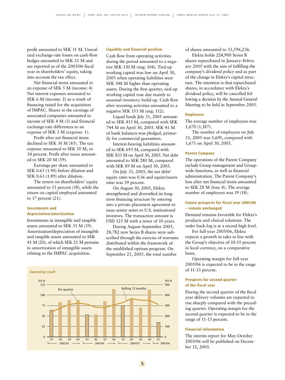profit amounted to SEK 11 M. Unrealized exchange-rate losses on cash-flow hedges amounted to SEK 21 M and are reported as of the 2005/06 fiscal year in shareholders' equity, taking into account the tax effect.

Net financial items amounted to an expense of SEK 5 M (income: 4) Net interest expenses amounted to SEK 6 M (income: 2) as a result of financing raised for the acquisition of IMPAC. Shares in the earnings of associated companies amounted to income of SEK 4 M (3) and financial exchange-rate differences to an expense of SEK 3 M (expense: 1).

Profit after net financial items declined to SEK 30 M (85). The tax expense amounted to SEK 10 M, or 34 percent. Profit after taxes amounted to SEK 20 M (59).

Earnings per share amounted to SEK 0.63 (1.90) before dilution and SEK 0.63 (1.89) after dilution.

The return on shareholders' equity amounted to 13 percent (18), while the return on capital employed amounted to 17 percent (21).

## **Investments and depreciation/amortization**

Investments in intangible and tangible assets amounted to SEK 31 M (19). Amortization/depreciation of intangible and tangible assets amounted to SEK 41 M (20), of which SEK 21 M pertains to amortization of intangible assets relating to the IMPAC acquisition.

#### **Liquidity and financial position**

Cash flow from operating activities during the period amounted to a negative SEK 130 M (neg: 104). Tied-up working capital was low on April 30, 2005 when operating liabilities were SEK 348 M higher than operating assets. During the first quarter, tied-up working capital rose due mainly to seasonal inventory build-up. Cash flow after investing activities amounted to a negative SEK 153 M (neg: 112).

Liquid funds July 31, 2005 amounted to SEK 413 M, compared with SEK 744 M on April 30, 2005. SEK 41 M of bank balances was pledged, primarily for commercial guarantees.

Interest-bearing liabilities amounted to SEK 693 M, compared with SEK 833 M on April 30, 2005. Net debt amounted to SEK 280 M, compared with SEK 89 M on April 30, 2005.

On July 31, 2005, the net debt/ equity ratio was 0.16 and equity/assets ratio was 39 percent.

On August 30, 2005, Elekta strengthened and diversified its longterm financing structure by entering into a private placement agreement to issue senior notes to U.S. institutional investors. The transaction amount is USD 125 M with a tenor of 10 years.

During August–September 2005, 28,782 new Series B shares were subscribed through the exercise of warrants distributed within the framework of the established options program. On September 21, 2005, the total number



of shares amounted to 31,596,236.

Elekta holds 224,900 Series B shares repurchased in January–February 2005 with the aim of fulfilling the company's dividend policy and as part of the change in Elekta's capital structure. The intention is that repurchased shares, in accordance with Elekta's dividend policy, will be cancelled following a decision by the Annual General Meeting to be held in September 2005.

#### **Employees**

The average number of employees was 1,670 (1,187).

The number of employees on July 31, 2005 was 1,691, compared with 1,671 on April 30, 2005.

## **Parent Company**

The operations of the Parent Company include Group management and Groupwide functions, as well as financial administration. The Parent Company's loss after net financial items amounted to SEK 28 M (loss: 8). The average number of employees was 19 (18).

## **Future prospects for fiscal year 2005/06 – remain unchanged**

Demand remains favorable for Elekta's products and clinical solutions. The order back-log is at a record high level.

For full-year 2005/06, Elekta expects a growth in sales in line with the Group's objective of 10-15 percent in local currency, on a comparative basis.

Operating margin for full-year 2005/06 is expected to be in the range of 11-13 percent.

## **Prospects for second quarter of the fiscal year**

During the second quarter of the fiscal year delivery volumes are expected to rise sharply compared with the preceding quarter. Operating margin for the second quarter is expected to be in the range of 11-13 percent.

#### **Financial information**

The interim report for May-October 2005/06 will be published on December 12, 2005.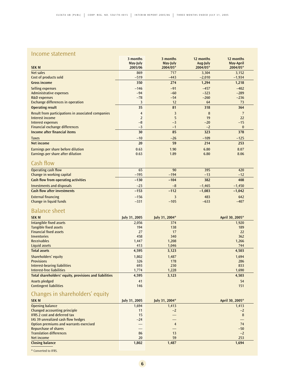## Income statement

| <b>SEK M</b>                                                      | 3 months<br>May-July<br>2005/06 | 3 months<br>May-July<br>2004/05* | 12 months<br>Aug-July<br>2004/05* | 12 months<br>May-April<br>2004/05* |
|-------------------------------------------------------------------|---------------------------------|----------------------------------|-----------------------------------|------------------------------------|
| Net sales                                                         | 869                             | 717                              | 3,304                             | 3,152                              |
| Cost of products sold<br><b>Gross income</b>                      | $-519$<br>350                   | $-443$<br>274                    | $-2,010$<br>1,294                 | $-1,934$<br>1,218                  |
|                                                                   | $-146$                          | $-91$                            | $-457$                            | $-402$                             |
| Selling expenses<br><b>Administrative expenses</b>                | $-94$                           | $-60$                            | $-323$                            | $-289$                             |
| <b>R&amp;D</b> expenses                                           | $-78$                           | $-54$                            | $-260$                            | $-236$                             |
| <b>Exchange differences in operation</b>                          | 3                               | 12                               | 64                                | 73                                 |
| <b>Operating result</b>                                           | 35                              | 81                               | 318                               | 364                                |
| Result from participations in associated companies                | 4                               | $\overline{\mathbf{3}}$          | 8                                 | $\overline{7}$                     |
| Interest income                                                   | $\overline{2}$                  | 5                                | 19                                | 22                                 |
| <b>Interest expenses</b><br><b>Financial exchange differences</b> | $-8$<br>$-3$                    | $-3$<br>$-1$                     | $-20$<br>$-2$                     | $-15$<br>$\bf{0}$                  |
| Income after financial items                                      | 30                              | 85                               | 323                               | 378                                |
| <b>Taxes</b>                                                      | $-10$                           | $-26$                            | $-109$                            | $-125$                             |
| Net income                                                        | 20                              | 59                               | 214                               | 253                                |
| Earnings per share before dilution                                | 0.63                            | 1.90                             | 6.80                              | 8.07                               |
| Earnings per share after dilution                                 | 0.63                            | 1.89                             | 6.80                              | 8.06                               |
| Cash flow                                                         |                                 |                                  |                                   |                                    |
| <b>Operating cash flow</b>                                        | 65                              | 90                               | 395                               | 420                                |
| Change in working capital                                         | $-195$                          | $-194$                           | $-13$                             | $-12$                              |
| <b>Cash flow from operating activities</b>                        | $-130$                          | $-104$                           | 382                               | 408                                |
| <b>Investments and disposals</b>                                  | $-23$                           | $-8$                             | $-1,465$                          | $-1,450$                           |
| <b>Cash flow after investments</b>                                | $-153$                          | $-112$                           | $-1,083$                          | $-1,042$                           |
| <b>External financing</b><br>Change in liquid funds               | $-156$<br>$-331$                | $\overline{3}$<br>$-105$         | 483<br>$-633$                     | 642<br>$-407$                      |
| <b>Balance sheet</b>                                              |                                 |                                  |                                   |                                    |
| <b>SEK M</b>                                                      | July 31, 2005                   | July 31, 2004*                   |                                   | April 30, 2005*                    |
| Intangible fixed assets<br><b>Tangible fixed assets</b>           | 2,056<br>194                    | 374<br>138                       |                                   | 1,920<br>189                       |
| <b>Financial fixed assets</b>                                     | 27                              | 17                               |                                   | 22                                 |
| <b>Inventories</b>                                                | 458                             | 340                              |                                   | 362                                |
| <b>Receivables</b>                                                | 1,447                           | 1,208                            |                                   | 1,266                              |
| Liquid assets<br><b>Total assets</b>                              | 413                             | 1,046                            |                                   | 744                                |
|                                                                   | 4,595                           | 3,123                            |                                   | 4,503                              |
| Shareholders' equity<br><b>Provisions</b>                         | 1,802<br>326                    | 1,487<br>178                     |                                   | 1,694<br>286                       |
| <b>Interest-bearing liabilities</b>                               | 693                             | 230                              |                                   | 833                                |
| Interest-free liabilities                                         | 1,774                           | 1,228                            |                                   | 1,690                              |
| Total shareholders' equity, provisions and liabilities            | 4,595                           | 3,123                            |                                   | 4,503                              |
| <b>Assets pledged</b><br><b>Contingent liabilities</b>            | 41<br>146                       |                                  |                                   | 54<br>151                          |
| Changes in shareholders' equity                                   |                                 |                                  |                                   |                                    |
| <b>SEK M</b>                                                      | July 31, 2005                   | July 31, 2004*                   |                                   | April 30, 2005*                    |
| <b>Opening balance</b><br><b>Changed accounting principle</b>     | 1,694<br>11                     | 1,413<br>$-2$                    |                                   | 1,413<br>$-2$                      |
| <b>IFRS 2 cost and deferred tax</b>                               | 15                              |                                  |                                   | 8                                  |
| IAS 39 unrealized cash flow hedges                                | $-24$                           |                                  |                                   |                                    |
| Option premiums and warrants exercised                            |                                 | $\overline{4}$                   |                                   | 74                                 |
| <b>Repurchase of shares</b><br><b>Translation differences</b>     | 86                              | 13                               |                                   | $-50$<br>$-2$                      |
| Net income                                                        | 20                              | 59                               |                                   | 253                                |
| <b>Closing balance</b>                                            | 1,802                           | 1,487                            |                                   | 1,694                              |
|                                                                   |                                 |                                  |                                   |                                    |

\* Converted to IFRS.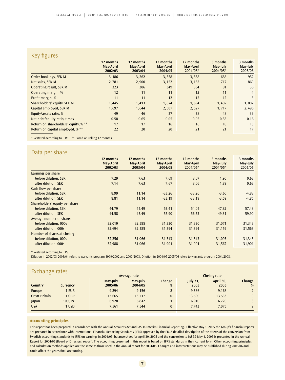# Key figures

| $\cdots$                             |                                   |                                   |                                   |                                    |                                  |                                 |
|--------------------------------------|-----------------------------------|-----------------------------------|-----------------------------------|------------------------------------|----------------------------------|---------------------------------|
|                                      | 12 months<br>May-April<br>2002/03 | 12 months<br>May-April<br>2003/04 | 12 months<br>May-April<br>2004/05 | 12 months<br>May-April<br>2004/05* | 3 months<br>May-July<br>2004/05* | 3 months<br>May-July<br>2005/06 |
| Order bookings, SEK M                | 3,186                             | 3,262                             | 3,558                             | 3,558                              | 688                              | 952                             |
| Net sales, SEK M                     | 2,781                             | 2,900                             | 3,152                             | 3,152                              | 717                              | 869                             |
| <b>Operating result, SEK M</b>       | 323                               | 306                               | 349                               | 364                                | 81                               | 35                              |
| Operating margin, %                  | 12                                | 11                                | 11                                | 12                                 | 11                               | $\overline{4}$                  |
| Profit margin, %                     | 11                                | 11                                | 12                                | 12                                 | 12                               | 3                               |
| Shareholders' equity, SEK M          | 1.445                             | 1.413                             | 1.674                             | 1,694                              | 1,487                            | 1,802                           |
| Capital employed, SEK M              | 1,697                             | 1,644                             | 2,507                             | 2,527                              | 1,717                            | 2,495                           |
| Equity/assets ratio, %               | 49                                | 46                                | 37                                | 38                                 | 48                               | 39                              |
| Net debt/equity ratio, times         | $-0.58$                           | $-0.65$                           | 0.05                              | 0.05                               | $-0.55$                          | 0.16                            |
| Return on shareholders' equity, % ** | 17                                | 17                                | 16                                | 16                                 | 18                               | 13                              |
| Return on capital employed, % **     | 22                                | 20                                | 20                                | 21                                 | 21                               | 17                              |

\* Restated according to IFRS. \*\* Based on rolling 12 months.

# Data per share

|                                | 12 months<br>May-April<br>2002/03 | 12 months<br>May-April<br>2003/04 | 12 months<br>May-April<br>2004/05 | 12 months<br>May-April<br>2004/05* | 3 months<br>May-July<br>2004/05* | 3 months<br>May-July<br>2005/06 |
|--------------------------------|-----------------------------------|-----------------------------------|-----------------------------------|------------------------------------|----------------------------------|---------------------------------|
| Earnings per share             |                                   |                                   |                                   |                                    |                                  |                                 |
| before dilution, SEK           | 7.29                              | 7.63                              | 7.69                              | 8.07                               | 1.90                             | 0.63                            |
| after dilution, SEK            | 7.14                              | 7.63                              | 7.67                              | 8.06                               | 1.89                             | 0.63                            |
| Cash flow per share            |                                   |                                   |                                   |                                    |                                  |                                 |
| before dilution, SEK           | 8.99                              | 11.14                             | $-33.26$                          | $-33.26$                           | $-3.60$                          | $-4.88$                         |
| after dilution, SEK            | 8.81                              | 11.14                             | $-33.19$                          | $-33.19$                           | $-3.59$                          | $-4.85$                         |
| Shareholders' equity per share |                                   |                                   |                                   |                                    |                                  |                                 |
| before dilution, SEK           | 44.79                             | 45.49                             | 53.41                             | 54.05                              | 47.82                            | 57.48                           |
| after dilution, SEK            | 44.58                             | 45.49                             | 55.90                             | 56.53                              | 49.31                            | 59.90                           |
| Average number of shares       |                                   |                                   |                                   |                                    |                                  |                                 |
| before dilution, 000s          | 32,019                            | 32,585                            | 31,330                            | 31,330                             | 31,071                           | 31,343                          |
| after dilution, 000s           | 32,694                            | 32,585                            | 31,394                            | 31,394                             | 31,159                           | 31,563                          |
| Number of shares at closing    |                                   |                                   |                                   |                                    |                                  |                                 |
| before dilution, 000s          | 32,256                            | 31,066                            | 31,343                            | 31,343                             | 31,093                           | 31,343                          |
| after dilution, 000s           | 32,988                            | 31,066                            | 31,901                            | 31,901                             | 31,567                           | 31,901                          |

\* Restated according to IFRS.

Dilution in 2002/03-2003/04 refers to warrants program 1999/2002 and 2000/2003. Dilution in 2004/05-2005/06 refers to warrants program 2004/2008.

| Exchange rates       |                |          |              |              |                 |                     |          |
|----------------------|----------------|----------|--------------|--------------|-----------------|---------------------|----------|
|                      |                |          | Average rate |              |                 | <b>Closing rate</b> |          |
|                      |                | May-July | May-July     | Change       | <b>July 31,</b> | April 30,           | Change   |
| Country              | Currency       | 2005/06  | 2004/05      | %            | 2005            | 2005                | %        |
| Europe               | 1 EUR          | 9.294    | 9.156        |              | 9.386           | 9.168               |          |
| <b>Great Britain</b> | 1 GBP          | 13.665   | 13.717       | $\bf{0}$     | 13.590          | 13.533              | $\bf{0}$ |
| Japan                | <b>100 IPY</b> | 6.928    | 6.842        |              | 6.910           | 6.720               |          |
| <b>USA</b>           | 1 USD          | 7.561    | 7.544        | $\mathbf{0}$ | 7.743           | 7.075               | 9        |

## **Accounting principles**

This report has been prepared in accordance with the Annual Accounts Act and IAS 34 Interim Financial Reporting. Effective May 1, 2005 the Group's financial reports are prepared in accordance with International Financial Reporting Standards (IFRS) approved by the EU. A detailed description of the effects of the conversion from Swedish accounting standards to IFRS on earnings in 2004/05, balance sheet for April 30, 2005 and the conversion to IAS 39 May 1, 2005 is presented in the Annual Report for 2004/05 (Board of Directors' report). The accounting presented in this report is based on IFRS standards in their current form. Other accounting principles and calculation methods applied are the same as those used in the Annual report for 2004/05. Changes and interpretations may be published during 2005/06 and could affect the year's final accounting.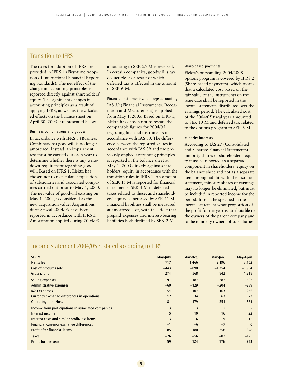# Transition to IFRS

The rules for adoption of IFRS are provided in IFRS 1 (First-time Adoption of International Financial Reporting Standards). The net effect of the change in accounting principles is reported directly against shareholders' equity. The significant changes in accounting principles as a result of applying IFRS, as well as the calculated effects on the balance sheet on April 30, 2005, are presented below.

#### Business combinations and goodwill

In accordance with IFRS 3 (Business Combinations) goodwill is no longer amortized. Instead, an impairment test must be carried out each year to determine whether there is any writedown requirement regarding goodwill. Based on IFRS 1, Elekta has chosen not to recalculate acquisitions of subsidiaries and associated companies carried out prior to May 1, 2000. The net value of goodwill existing on May 1, 2004, is considered as the new acquisition value. Acquisitions during fiscal 2004/05 have been reported in accordance with IFRS 3. Amortization applied during 2004/05

amounting to SEK 25 M is reversed. In certain companies, goodwill is tax deductible, as a result of which deferred tax is affected in the amount of SEK 6 M.

Financial instruments and hedge accounting IAS 39 (Financial Instruments: Recognition and Measurement) is applied from May 1, 2005. Based on IFRS 1, Elekta has chosen not to restate the comparable figures for 2004/05 regarding financial instruments in accordance with IAS 39. The difference between the reported values in accordance with IAS 39 and the previously applied accounting principles is reported in the balance sheet at May 1, 2005 directly against shareholders' equity in accordance with the transition rules in IFRS 1. An amount of SEK 15 M is reported for financial instruments, SEK 4 M in deferred taxes related to these, and shareholders' equity is increased by SEK 11 M. Financial liabilities shall be measured at amortized cost, with the effect that prepaid expenses and interest-bearing liabilities both declined by SEK 2 M.

#### Share-based payments

Elekta's outstanding 2004/2008 options program is covered by IFRS 2 (Share-based payments), which means that a calculated cost based on the fair value of the instruments on the issue date shall be reported in the income statements distributed over the earnings period. The calculated cost of the 2004/05 fiscal year amounted to SEK 10 M and deferred tax related to the options program to SEK 3 M.

#### Minority interests

According to IAS 27 (Consolidated and Separate Financial Statements), minority shares of shareholders' equity must be reported as a separate component in shareholders' equity on the balance sheet and not as a separate item among liabilities. In the income statement, minority shares of earnings may no longer be eliminated, but must be included in reported income for the period. It must be specified in the income statement what proportion of the profit for the year is attributable to the owners of the parent company and to the minority owners of subsidiaries.

## Income statement 2004/05 restated according to IFRS

| <b>SEK M</b>                                       | May-July | May-Oct.       | May-Jan.       | May-April      |
|----------------------------------------------------|----------|----------------|----------------|----------------|
| Net sales                                          | 717      | 1,466          | 2,196          | 3,152          |
| Cost of products sold                              | $-443$   | $-898$         | $-1,354$       | $-1,934$       |
| Gross profit                                       | 274      | 568            | 842            | 1,218          |
| Selling expenses                                   | $-91$    | $-187$         | $-287$         | $-402$         |
| Administrative expenses                            | $-60$    | $-129$         | $-204$         | $-289$         |
| <b>R&amp;D</b> expenses                            | $-54$    | $-107$         | $-163$         | $-236$         |
| Currency exchange differences in operations        | 12       | 34             | 63             | 73             |
| <b>Operating profit/loss</b>                       | 81       | 179            | 251            | 364            |
| Income from participations in associated companies | 3        | $\overline{3}$ | $\overline{7}$ | $\overline{7}$ |
| Interest income                                    | 5        | 10             | 16             | 22             |
| Interest costs and similar profit/loss items       | $-3$     | $-6$           | $-9$           | $-15$          |
| Financial currency exchange differences            | $-1$     | $-6$           | $-7$           | $\bf{0}$       |
| <b>Profit after financial items</b>                | 85       | 180            | 258            | 378            |
| <b>Taxes</b>                                       | $-26$    | $-56$          | $-82$          | $-125$         |
| <b>Profit for the year</b>                         | 59       | 124            | 176            | 253            |